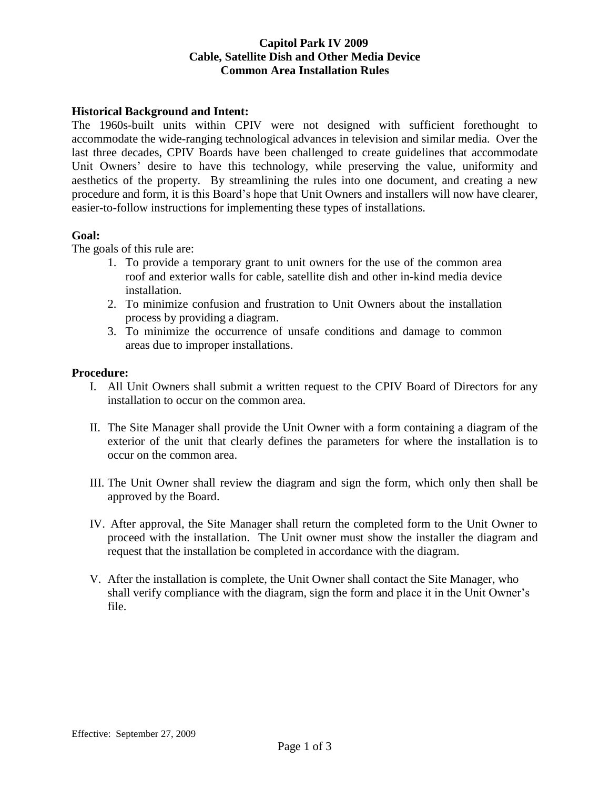### **Capitol Park IV 2009 Cable, Satellite Dish and Other Media Device Common Area Installation Rules**

#### **Historical Background and Intent:**

The 1960s-built units within CPIV were not designed with sufficient forethought to accommodate the wide-ranging technological advances in television and similar media. Over the last three decades, CPIV Boards have been challenged to create guidelines that accommodate Unit Owners' desire to have this technology, while preserving the value, uniformity and aesthetics of the property. By streamlining the rules into one document, and creating a new procedure and form, it is this Board's hope that Unit Owners and installers will now have clearer, easier-to-follow instructions for implementing these types of installations.

#### **Goal:**

The goals of this rule are:

- 1. To provide a temporary grant to unit owners for the use of the common area roof and exterior walls for cable, satellite dish and other in-kind media device installation.
- 2. To minimize confusion and frustration to Unit Owners about the installation process by providing a diagram.
- 3. To minimize the occurrence of unsafe conditions and damage to common areas due to improper installations.

#### **Procedure:**

- I. All Unit Owners shall submit a written request to the CPIV Board of Directors for any installation to occur on the common area.
- II. The Site Manager shall provide the Unit Owner with a form containing a diagram of the exterior of the unit that clearly defines the parameters for where the installation is to occur on the common area.
- III. The Unit Owner shall review the diagram and sign the form, which only then shall be approved by the Board.
- IV. After approval, the Site Manager shall return the completed form to the Unit Owner to proceed with the installation. The Unit owner must show the installer the diagram and request that the installation be completed in accordance with the diagram.
- V. After the installation is complete, the Unit Owner shall contact the Site Manager, who shall verify compliance with the diagram, sign the form and place it in the Unit Owner's file.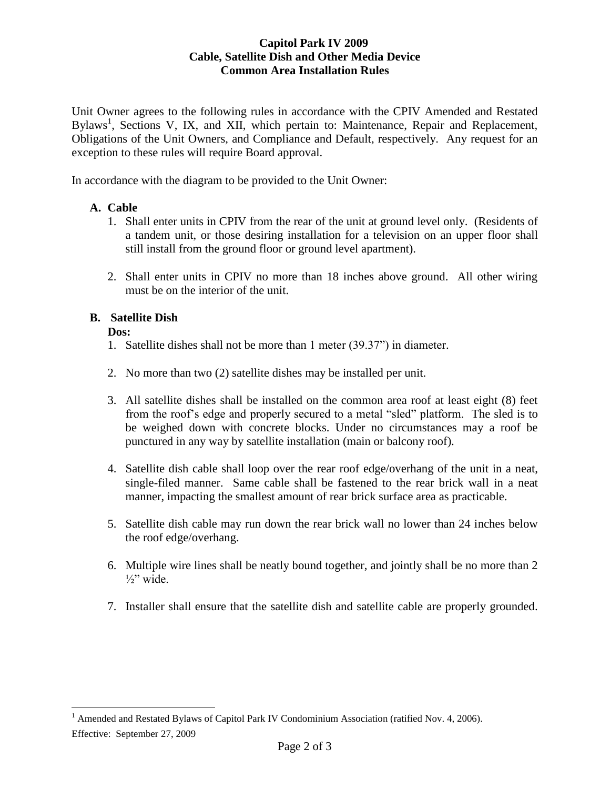### **Capitol Park IV 2009 Cable, Satellite Dish and Other Media Device Common Area Installation Rules**

Unit Owner agrees to the following rules in accordance with the CPIV Amended and Restated Bylaws<sup>1</sup>, Sections V, IX, and XII, which pertain to: Maintenance, Repair and Replacement, Obligations of the Unit Owners, and Compliance and Default, respectively. Any request for an exception to these rules will require Board approval.

In accordance with the diagram to be provided to the Unit Owner:

## **A. Cable**

- 1. Shall enter units in CPIV from the rear of the unit at ground level only. (Residents of a tandem unit, or those desiring installation for a television on an upper floor shall still install from the ground floor or ground level apartment).
- 2. Shall enter units in CPIV no more than 18 inches above ground. All other wiring must be on the interior of the unit.

# **B. Satellite Dish**

**Dos:**

 $\overline{a}$ 

- 1. Satellite dishes shall not be more than 1 meter (39.37") in diameter.
- 2. No more than two (2) satellite dishes may be installed per unit.
- 3. All satellite dishes shall be installed on the common area roof at least eight (8) feet from the roof's edge and properly secured to a metal "sled" platform. The sled is to be weighed down with concrete blocks. Under no circumstances may a roof be punctured in any way by satellite installation (main or balcony roof).
- 4. Satellite dish cable shall loop over the rear roof edge/overhang of the unit in a neat, single-filed manner. Same cable shall be fastened to the rear brick wall in a neat manner, impacting the smallest amount of rear brick surface area as practicable.
- 5. Satellite dish cable may run down the rear brick wall no lower than 24 inches below the roof edge/overhang.
- 6. Multiple wire lines shall be neatly bound together, and jointly shall be no more than 2  $\frac{1}{2}$ " wide.
- 7. Installer shall ensure that the satellite dish and satellite cable are properly grounded.

Effective: September 27, 2009 <sup>1</sup> Amended and Restated Bylaws of Capitol Park IV Condominium Association (ratified Nov. 4, 2006).